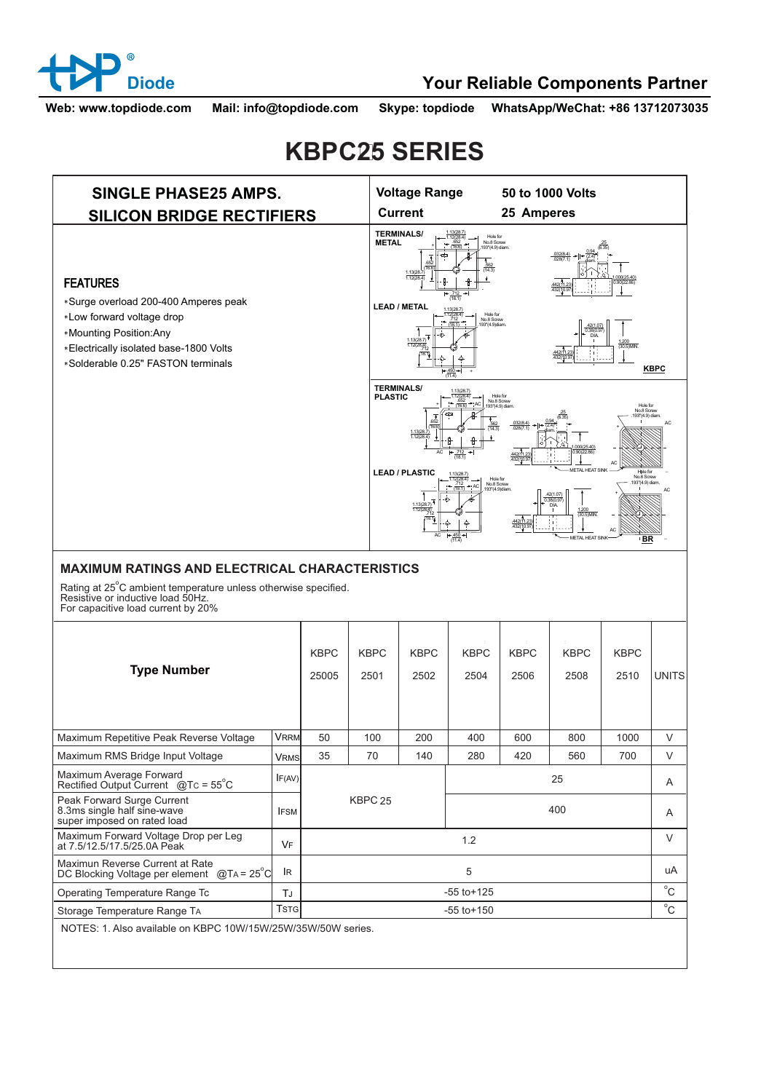

## **Diode Your Reliable Components Partner**

**Web: www.topdiode.com Mail: info@topdiode.com Skype: topdiode WhatsApp/WeChat: +86 13712073035**

## **KBPC25 SERIES**



## **MAXIMUM RATINGS AND ELECTRICAL CHARACTERISTICS**

Rating at 25°C ambient temperature unless otherwise specified.<br>Resistive or inductive load 50Hz. For capacitive load current by 20%

| <b>Type Number</b>                                                                       |              | <b>KBPC</b><br>25005 | <b>KBPC</b><br>2501 | <b>KBPC</b><br>2502 | ÷<br><b>KBPC</b><br>2504 | <b>KBPC</b><br>2506 | ÷<br><b>KBPC</b><br>2508 | <b>KBPC</b><br>2510 | UNITS          |
|------------------------------------------------------------------------------------------|--------------|----------------------|---------------------|---------------------|--------------------------|---------------------|--------------------------|---------------------|----------------|
| Maximum Repetitive Peak Reverse Voltage                                                  | <b>VRRM</b>  | 50                   | 100                 | 200                 | 400                      | 600                 | 800                      | 1000                | $\vee$         |
| Maximum RMS Bridge Input Voltage                                                         | VRMS         | 35                   | 70                  | 140                 | 280                      | 420                 | 560                      | 700                 | $\vee$         |
| Maximum Average Forward<br>Rectified Output Current $@TC = 55^{\circ}C$                  | IF(AV)       |                      |                     |                     |                          | 25                  |                          |                     | $\overline{A}$ |
| Peak Forward Surge Current<br>8.3ms single half sine-wave<br>super imposed on rated load | <b>IFSM</b>  | KBPC <sub>25</sub>   |                     |                     | 400                      |                     |                          |                     | $\overline{A}$ |
| Maximum Forward Voltage Drop per Leg<br>at 7.5/12.5/17.5/25.0A Peak                      | VF           | 1.2                  |                     |                     |                          |                     |                          | $\vee$              |                |
| Maximun Reverse Current at Rate<br>DC Blocking Voltage per element @TA = 25°C            | <b>IR</b>    | 5                    |                     |                     |                          |                     |                          |                     | uA             |
| Operating Temperature Range Tc                                                           | T.J          | $-55$ to $+125$      |                     |                     |                          |                     |                          |                     | $^{\circ}$ C   |
| Storage Temperature Range TA                                                             | <b>Tstgl</b> | $-55$ to $+150$      |                     |                     |                          |                     |                          | $^{\circ}$ C        |                |
| MOTES: 1 Also available on KRRC 10\N/(15\N/(25\N/(25\N/(50\N, series)                    |              |                      |                     |                     |                          |                     |                          |                     |                |

ilable on KBPC 10W/15W/25W/35W/50W series.